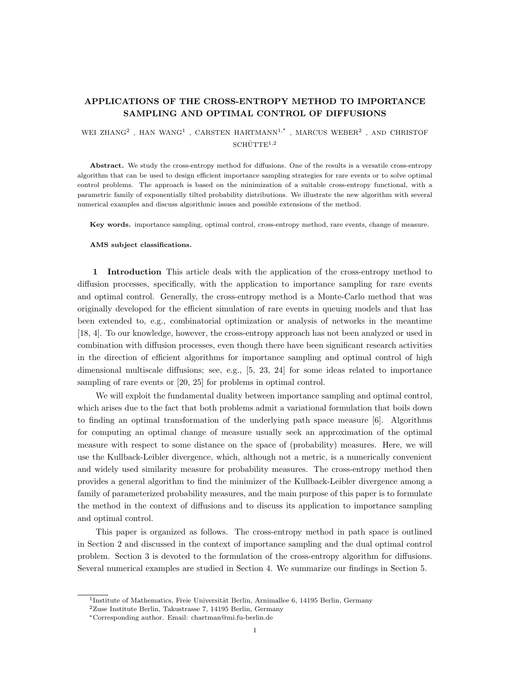# APPLICATIONS OF THE CROSS-ENTROPY METHOD TO IMPORTANCE SAMPLING AND OPTIMAL CONTROL OF DIFFUSIONS

## WEI ZHANG<sup>2</sup> , HAN WANG<sup>1</sup> , CARSTEN HARTMANN<sup>1,\*</sup> , MARCUS WEBER<sup>2</sup> , AND CHRISTOF  $SCHÜTTE<sup>1,2</sup>$

Abstract. We study the cross-entropy method for diffusions. One of the results is a versatile cross-entropy algorithm that can be used to design efficient importance sampling strategies for rare events or to solve optimal control problems. The approach is based on the minimization of a suitable cross-entropy functional, with a parametric family of exponentially tilted probability distributions. We illustrate the new algorithm with several numerical examples and discuss algorithmic issues and possible extensions of the method.

Key words. importance sampling, optimal control, cross-entropy method, rare events, change of measure.

#### AMS subject classifications.

1 Introduction This article deals with the application of the cross-entropy method to diffusion processes, specifically, with the application to importance sampling for rare events and optimal control. Generally, the cross-entropy method is a Monte-Carlo method that was originally developed for the efficient simulation of rare events in queuing models and that has been extended to, e.g., combinatorial optimization or analysis of networks in the meantime [18, 4]. To our knowledge, however, the cross-entropy approach has not been analyzed or used in combination with diffusion processes, even though there have been significant research activities in the direction of efficient algorithms for importance sampling and optimal control of high dimensional multiscale diffusions; see, e.g., [5, 23, 24] for some ideas related to importance sampling of rare events or [20, 25] for problems in optimal control.

We will exploit the fundamental duality between importance sampling and optimal control, which arises due to the fact that both problems admit a variational formulation that boils down to finding an optimal transformation of the underlying path space measure [6]. Algorithms for computing an optimal change of measure usually seek an approximation of the optimal measure with respect to some distance on the space of (probability) measures. Here, we will use the Kullback-Leibler divergence, which, although not a metric, is a numerically convenient and widely used similarity measure for probability measures. The cross-entropy method then provides a general algorithm to find the minimizer of the Kullback-Leibler divergence among a family of parameterized probability measures, and the main purpose of this paper is to formulate the method in the context of diffusions and to discuss its application to importance sampling and optimal control.

This paper is organized as follows. The cross-entropy method in path space is outlined in Section 2 and discussed in the context of importance sampling and the dual optimal control problem. Section 3 is devoted to the formulation of the cross-entropy algorithm for diffusions. Several numerical examples are studied in Section 4. We summarize our findings in Section 5.

<sup>&</sup>lt;sup>1</sup>Institute of Mathematics, Freie Universität Berlin, Arnimallee 6, 14195 Berlin, Germany

<sup>2</sup>Zuse Institute Berlin, Takustrasse 7, 14195 Berlin, Germany

<sup>∗</sup>Corresponding author. Email: chartman@mi.fu-berlin.de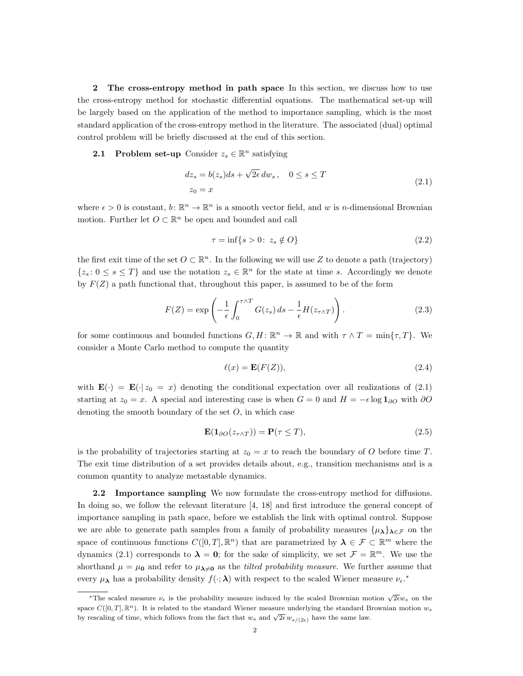2 The cross-entropy method in path space In this section, we discuss how to use the cross-entropy method for stochastic differential equations. The mathematical set-up will be largely based on the application of the method to importance sampling, which is the most standard application of the cross-entropy method in the literature. The associated (dual) optimal control problem will be briefly discussed at the end of this section.

**2.1** Problem set-up Consider  $z_s \in \mathbb{R}^n$  satisfying

$$
dz_s = b(z_s)ds + \sqrt{2\epsilon} dw_s, \quad 0 \le s \le T
$$
  

$$
z_0 = x
$$
 (2.1)

where  $\epsilon > 0$  is constant,  $b \colon \mathbb{R}^n \to \mathbb{R}^n$  is a smooth vector field, and w is n-dimensional Brownian motion. Further let  $O \subset \mathbb{R}^n$  be open and bounded and call

$$
\tau = \inf\{s > 0 \colon z_s \notin O\} \tag{2.2}
$$

the first exit time of the set  $O \subset \mathbb{R}^n$ . In the following we will use Z to denote a path (trajectory)  $\{z_s: 0 \le s \le T\}$  and use the notation  $z_s \in \mathbb{R}^n$  for the state at time s. Accordingly we denote by  $F(Z)$  a path functional that, throughout this paper, is assumed to be of the form

$$
F(Z) = \exp\left(-\frac{1}{\epsilon} \int_0^{\tau \wedge T} G(z_s) \, ds - \frac{1}{\epsilon} H(z_{\tau \wedge T})\right). \tag{2.3}
$$

for some continuous and bounded functions  $G, H: \mathbb{R}^n \to \mathbb{R}$  and with  $\tau \wedge T = \min{\lbrace \tau, T \rbrace}$ . We consider a Monte Carlo method to compute the quantity

$$
\ell(x) = \mathbf{E}(F(Z)),\tag{2.4}
$$

with  $\mathbf{E}(\cdot) = \mathbf{E}(\cdot | z_0 = x)$  denoting the conditional expectation over all realizations of (2.1) starting at  $z_0 = x$ . A special and interesting case is when  $G = 0$  and  $H = -\epsilon \log 1_{\partial O}$  with ∂O denoting the smooth boundary of the set  $O$ , in which case

$$
\mathbf{E}(\mathbf{1}_{\partial O}(z_{\tau \wedge T})) = \mathbf{P}(\tau \leq T), \tag{2.5}
$$

is the probability of trajectories starting at  $z_0 = x$  to reach the boundary of O before time T. The exit time distribution of a set provides details about, e.g., transition mechanisms and is a common quantity to analyze metastable dynamics.

2.2 Importance sampling We now formulate the cross-entropy method for diffusions. In doing so, we follow the relevant literature [4, 18] and first introduce the general concept of importance sampling in path space, before we establish the link with optimal control. Suppose we are able to generate path samples from a family of probability measures  $\{\mu_{\lambda}\}_{\lambda \in \mathcal{F}}$  on the space of continuous functions  $C([0,T],\mathbb{R}^n)$  that are parametrized by  $\lambda \in \mathcal{F} \subset \mathbb{R}^m$  where the dynamics (2.1) corresponds to  $\lambda = 0$ ; for the sake of simplicity, we set  $\mathcal{F} = \mathbb{R}^m$ . We use the shorthand  $\mu = \mu_0$  and refer to  $\mu_{\lambda \neq 0}$  as the *tilted probability measure*. We further assume that every  $\mu_{\lambda}$  has a probability density  $f(\cdot;\lambda)$  with respect to the scaled Wiener measure  $\nu_{\epsilon}$ .\*

<sup>&</sup>lt;sup>\*</sup>The scaled measure  $\nu_{\epsilon}$  is the probability measure induced by the scaled Brownian motion  $\sqrt{2\epsilon}w_s$  on the space  $C([0,T], \mathbb{R}^n)$ . It is related to the standard Wiener measure underlying the standard Brownian motion  $w_s$ by rescaling of time, which follows from the fact that  $w_s$  and  $\sqrt{2\epsilon} w_{s/(2\epsilon)}$  have the same law.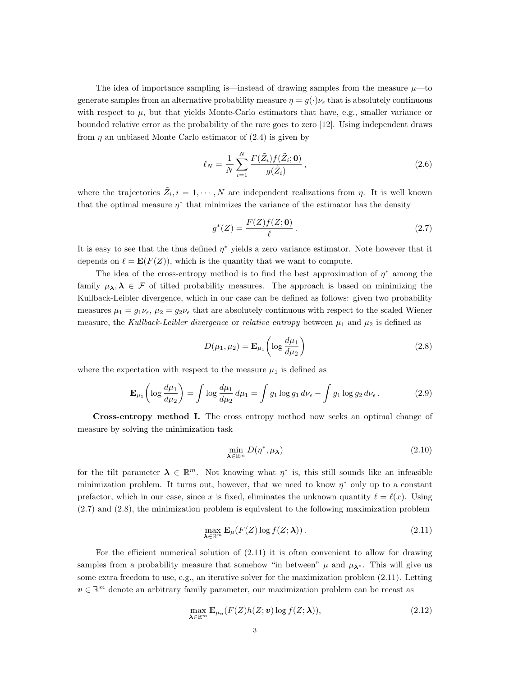The idea of importance sampling is—instead of drawing samples from the measure  $\mu$ —to generate samples from an alternative probability measure  $\eta = g(\cdot)\nu_{\epsilon}$  that is absolutely continuous with respect to  $\mu$ , but that yields Monte-Carlo estimators that have, e.g., smaller variance or bounded relative error as the probability of the rare goes to zero [12]. Using independent draws from  $\eta$  an unbiased Monte Carlo estimator of (2.4) is given by

$$
\ell_N = \frac{1}{N} \sum_{i=1}^{N} \frac{F(\tilde{Z}_i) f(\tilde{Z}_i; \mathbf{0})}{g(\tilde{Z}_i)},
$$
\n(2.6)

where the trajectories  $\tilde{Z}_i, i = 1, \cdots, N$  are independent realizations from  $\eta$ . It is well known that the optimal measure  $\eta^*$  that minimizes the variance of the estimator has the density

$$
g^*(Z) = \frac{F(Z)f(Z; \mathbf{0})}{\ell} \,. \tag{2.7}
$$

It is easy to see that the thus defined  $\eta^*$  yields a zero variance estimator. Note however that it depends on  $\ell = \mathbf{E}(F(Z))$ , which is the quantity that we want to compute.

The idea of the cross-entropy method is to find the best approximation of  $\eta^*$  among the family  $\mu_{\lambda}, \lambda \in \mathcal{F}$  of tilted probability measures. The approach is based on minimizing the Kullback-Leibler divergence, which in our case can be defined as follows: given two probability measures  $\mu_1 = g_1 \nu_{\epsilon}$ ,  $\mu_2 = g_2 \nu_{\epsilon}$  that are absolutely continuous with respect to the scaled Wiener measure, the Kullback-Leibler divergence or relative entropy between  $\mu_1$  and  $\mu_2$  is defined as

$$
D(\mu_1, \mu_2) = \mathbf{E}_{\mu_1} \left( \log \frac{d\mu_1}{d\mu_2} \right) \tag{2.8}
$$

where the expectation with respect to the measure  $\mu_1$  is defined as

$$
\mathbf{E}_{\mu_1} \left( \log \frac{d\mu_1}{d\mu_2} \right) = \int \log \frac{d\mu_1}{d\mu_2} d\mu_1 = \int g_1 \log g_1 d\nu_\epsilon - \int g_1 \log g_2 d\nu_\epsilon. \tag{2.9}
$$

Cross-entropy method I. The cross entropy method now seeks an optimal change of measure by solving the minimization task

$$
\min_{\mathbf{\lambda} \in \mathbb{R}^m} D(\eta^*, \mu_{\mathbf{\lambda}}) \tag{2.10}
$$

for the tilt parameter  $\lambda \in \mathbb{R}^m$ . Not knowing what  $\eta^*$  is, this still sounds like an infeasible minimization problem. It turns out, however, that we need to know  $\eta^*$  only up to a constant prefactor, which in our case, since x is fixed, eliminates the unknown quantity  $\ell = \ell(x)$ . Using (2.7) and (2.8), the minimization problem is equivalent to the following maximization problem

$$
\max_{\boldsymbol{\lambda} \in \mathbb{R}^m} \mathbf{E}_{\mu}(F(Z) \log f(Z; \boldsymbol{\lambda})).
$$
\n(2.11)

For the efficient numerical solution of (2.11) it is often convenient to allow for drawing samples from a probability measure that somehow "in between"  $\mu$  and  $\mu_{\lambda^*}$ . This will give us some extra freedom to use, e.g., an iterative solver for the maximization problem (2.11). Letting  $v \in \mathbb{R}^m$  denote an arbitrary family parameter, our maximization problem can be recast as

$$
\max_{\boldsymbol{\lambda} \in \mathbb{R}^m} \mathbf{E}_{\mu_v}(F(Z)h(Z; \boldsymbol{v})\log f(Z; \boldsymbol{\lambda})),\tag{2.12}
$$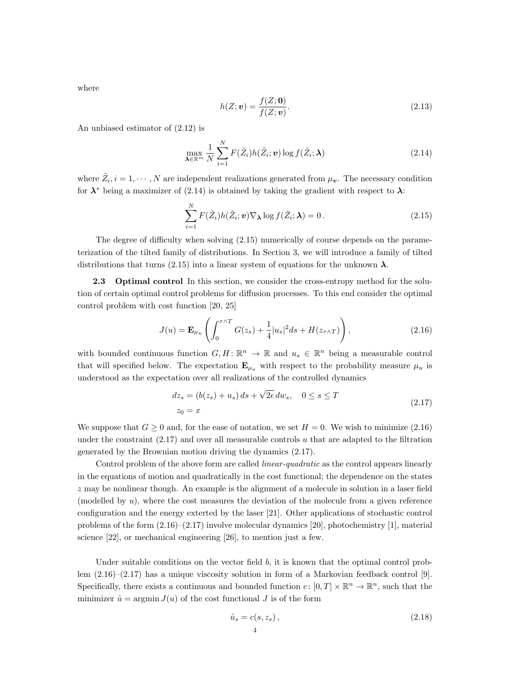where

$$
h(Z; \mathbf{v}) = \frac{f(Z; \mathbf{0})}{f(Z; \mathbf{v})}.
$$
\n(2.13)

An unbiased estimator of (2.12) is

$$
\max_{\boldsymbol{\lambda} \in \mathbb{R}^m} \frac{1}{N} \sum_{i=1}^N F(\tilde{Z}_i) h(\tilde{Z}_i; \boldsymbol{v}) \log f(\tilde{Z}_i; \boldsymbol{\lambda})
$$
\n(2.14)

where  $\tilde{Z}_i, i = 1, \dots, N$  are independent realizations generated from  $\mu_v$ . The necessary condition for  $\lambda^*$  being a maximizer of (2.14) is obtained by taking the gradient with respect to  $\lambda$ :

$$
\sum_{i=1}^{N} F(\tilde{Z}_i) h(\tilde{Z}_i; \mathbf{v}) \nabla_{\boldsymbol{\lambda}} \log f(\tilde{Z}_i; \boldsymbol{\lambda}) = 0.
$$
 (2.15)

The degree of difficulty when solving (2.15) numerically of course depends on the parameterization of the tilted family of distributions. In Section 3, we will introduce a family of tilted distributions that turns (2.15) into a linear system of equations for the unknown  $\lambda$ .

**2.3** Optimal control In this section, we consider the cross-entropy method for the solution of certain optimal control problems for diffusion processes. To this end consider the optimal control problem with cost function [20, 25]

$$
J(u) = \mathbf{E}_{\mu_u} \left( \int_0^{\tau \wedge T} G(z_s) + \frac{1}{4} |u_s|^2 ds + H(z_{\tau \wedge T}) \right), \tag{2.16}
$$

with bounded continuous function  $G, H \colon \mathbb{R}^n \to \mathbb{R}$  and  $u_s \in \mathbb{R}^n$  being a measurable control that will specified below. The expectation  $\mathbf{E}_{\mu_u}$  with respect to the probability measure  $\mu_u$  is understood as the expectation over all realizations of the controlled dynamics

$$
dz_s = (b(z_s) + u_s) ds + \sqrt{2\epsilon} dw_s, \quad 0 \le s \le T
$$
  

$$
z_0 = x
$$
 (2.17)

We suppose that  $G \geq 0$  and, for the ease of notation, we set  $H = 0$ . We wish to minimize (2.16) under the constraint  $(2.17)$  and over all measurable controls u that are adapted to the filtration generated by the Brownian motion driving the dynamics (2.17).

Control problem of the above form are called *linear-quadratic* as the control appears linearly in the equations of motion and quadratically in the cost functional; the dependence on the states  $z$  may be nonlinear though. An example is the alignment of a molecule in solution in a laser field (modelled by  $u$ ), where the cost measures the deviation of the molecule from a given reference configuration and the energy exterted by the laser [21]. Other applications of stochastic control problems of the form (2.16)–(2.17) involve molecular dynamics [20], photochemistry [1], material science [22], or mechanical engineering [26], to mention just a few.

Under suitable conditions on the vector field  $b$ , it is known that the optimal control problem (2.16)–(2.17) has a unique viscosity solution in form of a Markovian feedback control [9]. Specifically, there exists a continuous and bounded function  $c: [0, T] \times \mathbb{R}^n \to \mathbb{R}^n$ , such that the minimizer  $\hat{u} = \argmin J(u)$  of the cost functional J is of the form

$$
\hat{u}_s = c(s, z_s),
$$
\n<sup>4</sup>\n<sup>(2.18)</sup>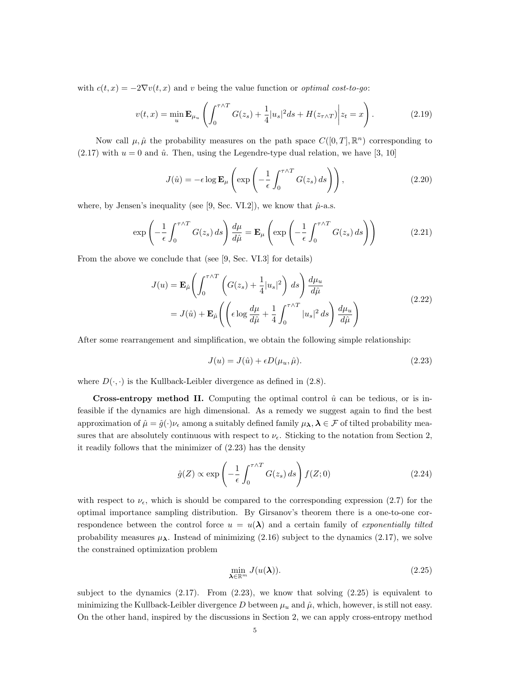with  $c(t, x) = -2\nabla v(t, x)$  and v being the value function or *optimal cost-to-go*:

$$
v(t,x) = \min_{u} \mathbf{E}_{\mu_u} \left( \int_0^{\tau \wedge T} G(z_s) + \frac{1}{4} |u_s|^2 ds + H(z_{\tau \wedge T}) \middle| z_t = x \right). \tag{2.19}
$$

Now call  $\mu, \hat{\mu}$  the probability measures on the path space  $C([0, T], \mathbb{R}^n)$  corresponding to  $(2.17)$  with  $u = 0$  and  $\hat{u}$ . Then, using the Legendre-type dual relation, we have [3, 10]

$$
J(\hat{u}) = -\epsilon \log \mathbf{E}_{\mu} \left( \exp \left( -\frac{1}{\epsilon} \int_0^{\tau \wedge T} G(z_s) \, ds \right) \right), \tag{2.20}
$$

where, by Jensen's inequality (see [9, Sec. VI.2]), we know that  $\hat{\mu}$ -a.s.

$$
\exp\left(-\frac{1}{\epsilon} \int_0^{\tau \wedge T} G(z_s) \, ds\right) \frac{d\mu}{d\hat{\mu}} = \mathbf{E}_{\mu} \left( \exp\left(-\frac{1}{\epsilon} \int_0^{\tau \wedge T} G(z_s) \, ds\right) \right) \tag{2.21}
$$

From the above we conclude that (see [9, Sec. VI.3] for details)

$$
J(u) = \mathbf{E}_{\hat{\mu}} \left( \int_0^{\tau \wedge T} \left( G(z_s) + \frac{1}{4} |u_s|^2 \right) ds \right) \frac{d\mu_u}{d\hat{\mu}}
$$
  
=  $J(\hat{u}) + \mathbf{E}_{\hat{\mu}} \left( \left( \epsilon \log \frac{d\mu}{d\hat{\mu}} + \frac{1}{4} \int_0^{\tau \wedge T} |u_s|^2 ds \right) \frac{d\mu_u}{d\hat{\mu}} \right)$  (2.22)

After some rearrangement and simplification, we obtain the following simple relationship:

$$
J(u) = J(\hat{u}) + \epsilon D(\mu_u, \hat{\mu}).
$$
\n(2.23)

where  $D(\cdot, \cdot)$  is the Kullback-Leibler divergence as defined in (2.8).

**Cross-entropy method II.** Computing the optimal control  $\hat{u}$  can be tedious, or is infeasible if the dynamics are high dimensional. As a remedy we suggest again to find the best approximation of  $\hat{\mu} = \hat{g}(\cdot)\nu_{\epsilon}$  among a suitably defined family  $\mu_{\lambda}, \lambda \in \mathcal{F}$  of tilted probability measures that are absolutely continuous with respect to  $\nu_{\epsilon}$ . Sticking to the notation from Section 2, it readily follows that the minimizer of (2.23) has the density

$$
\hat{g}(Z) \propto \exp\left(-\frac{1}{\epsilon} \int_0^{\tau \wedge T} G(z_s) \, ds\right) f(Z; 0) \tag{2.24}
$$

with respect to  $\nu_{\epsilon}$ , which is should be compared to the corresponding expression (2.7) for the optimal importance sampling distribution. By Girsanov's theorem there is a one-to-one correspondence between the control force  $u = u(\lambda)$  and a certain family of *exponentially tilted* probability measures  $\mu_{\lambda}$ . Instead of minimizing (2.16) subject to the dynamics (2.17), we solve the constrained optimization problem

$$
\min_{\mathbf{\lambda} \in \mathbb{R}^m} J(u(\mathbf{\lambda})).
$$
\n(2.25)

subject to the dynamics  $(2.17)$ . From  $(2.23)$ , we know that solving  $(2.25)$  is equivalent to minimizing the Kullback-Leibler divergence D between  $\mu_u$  and  $\hat{\mu}$ , which, however, is still not easy. On the other hand, inspired by the discussions in Section 2, we can apply cross-entropy method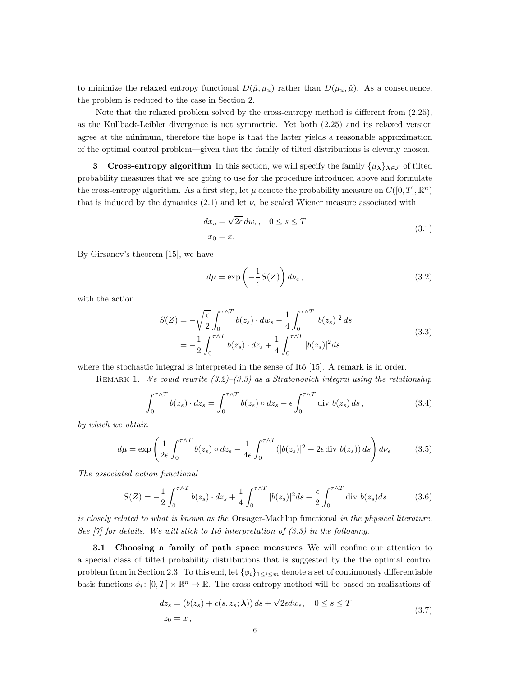to minimize the relaxed entropy functional  $D(\hat{\mu}, \mu_u)$  rather than  $D(\mu_u, \hat{\mu})$ . As a consequence, the problem is reduced to the case in Section 2.

Note that the relaxed problem solved by the cross-entropy method is different from (2.25), as the Kullback-Leibler divergence is not symmetric. Yet both (2.25) and its relaxed version agree at the minimum, therefore the hope is that the latter yields a reasonable approximation of the optimal control problem—given that the family of tilted distributions is cleverly chosen.

**3** Cross-entropy algorithm In this section, we will specify the family  $\{\mu_{\lambda}\}_{{\lambda}\in\mathcal{F}}$  of tilted probability measures that we are going to use for the procedure introduced above and formulate the cross-entropy algorithm. As a first step, let  $\mu$  denote the probability measure on  $C([0, T], \mathbb{R}^n)$ that is induced by the dynamics (2.1) and let  $\nu_{\epsilon}$  be scaled Wiener measure associated with

$$
dx_s = \sqrt{2\epsilon} \, dw_s, \quad 0 \le s \le T
$$
  

$$
x_0 = x.
$$
 (3.1)

By Girsanov's theorem [15], we have

$$
d\mu = \exp\left(-\frac{1}{\epsilon}S(Z)\right)d\nu_{\epsilon},\qquad(3.2)
$$

with the action

$$
S(Z) = -\sqrt{\frac{\epsilon}{2}} \int_0^{\tau \wedge T} b(z_s) \cdot dw_s - \frac{1}{4} \int_0^{\tau \wedge T} |b(z_s)|^2 ds
$$
  
= 
$$
-\frac{1}{2} \int_0^{\tau \wedge T} b(z_s) \cdot dz_s + \frac{1}{4} \int_0^{\tau \wedge T} |b(z_s)|^2 ds
$$
 (3.3)

where the stochastic integral is interpreted in the sense of Itô  $[15]$ . A remark is in order.

REMARK 1. We could rewrite  $(3.2)$ – $(3.3)$  as a Stratonovich integral using the relationship

$$
\int_0^{\tau \wedge T} b(z_s) \cdot dz_s = \int_0^{\tau \wedge T} b(z_s) \circ dz_s - \epsilon \int_0^{\tau \wedge T} \text{div } b(z_s) \, ds \,, \tag{3.4}
$$

by which we obtain

$$
d\mu = \exp\left(\frac{1}{2\epsilon} \int_0^{\tau \wedge T} b(z_s) \circ dz_s - \frac{1}{4\epsilon} \int_0^{\tau \wedge T} (|b(z_s)|^2 + 2\epsilon \operatorname{div} b(z_s)) ds\right) d\nu_{\epsilon}
$$
(3.5)

The associated action functional

$$
S(Z) = -\frac{1}{2} \int_0^{\tau \wedge T} b(z_s) \cdot dz_s + \frac{1}{4} \int_0^{\tau \wedge T} |b(z_s)|^2 ds + \frac{\epsilon}{2} \int_0^{\tau \wedge T} \text{div } b(z_s) ds \tag{3.6}
$$

is closely related to what is known as the Onsager-Machlup functional in the physical literature. See  $[7]$  for details. We will stick to Itô interpretation of  $(3.3)$  in the following.

3.1 Choosing a family of path space measures We will confine our attention to a special class of tilted probability distributions that is suggested by the the optimal control problem from in Section 2.3. To this end, let  $\{\phi_i\}_{1\leq i\leq m}$  denote a set of continuously differentiable basis functions  $\phi_i: [0, T] \times \mathbb{R}^n \to \mathbb{R}$ . The cross-entropy method will be based on realizations of

$$
dz_s = (b(z_s) + c(s, z_s; \lambda)) ds + \sqrt{2\epsilon} dw_s, \quad 0 \le s \le T
$$
  

$$
z_0 = x,
$$
 (3.7)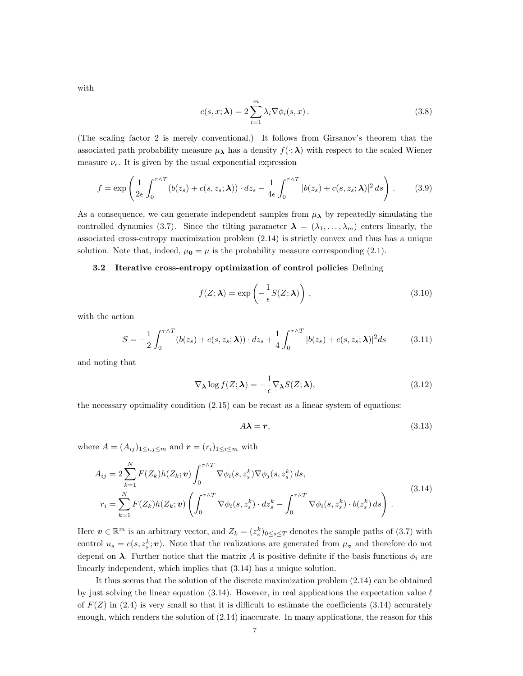with

$$
c(s, x; \lambda) = 2 \sum_{i=1}^{m} \lambda_i \nabla \phi_i(s, x).
$$
 (3.8)

(The scaling factor 2 is merely conventional.) It follows from Girsanov's theorem that the associated path probability measure  $\mu_{\lambda}$  has a density  $f(\cdot;\lambda)$  with respect to the scaled Wiener measure  $\nu_{\epsilon}$ . It is given by the usual exponential expression

$$
f = \exp\left(\frac{1}{2\epsilon} \int_0^{\tau \wedge T} (b(z_s) + c(s, z_s; \lambda)) \cdot dz_s - \frac{1}{4\epsilon} \int_0^{\tau \wedge T} |b(z_s) + c(s, z_s; \lambda)|^2 \, ds\right). \tag{3.9}
$$

As a consequence, we can generate independent samples from  $\mu_{\lambda}$  by repeatedly simulating the controlled dynamics (3.7). Since the tilting parameter  $\lambda = (\lambda_1, \ldots, \lambda_m)$  enters linearly, the associated cross-entropy maximization problem (2.14) is strictly convex and thus has a unique solution. Note that, indeed,  $\mu_0 = \mu$  is the probability measure corresponding (2.1).

### 3.2 Iterative cross-entropy optimization of control policies Defining

$$
f(Z; \lambda) = \exp\left(-\frac{1}{\epsilon}S(Z; \lambda)\right),\tag{3.10}
$$

with the action

$$
S = -\frac{1}{2} \int_0^{\tau \wedge T} (b(z_s) + c(s, z_s; \lambda)) \cdot dz_s + \frac{1}{4} \int_0^{\tau \wedge T} |b(z_s) + c(s, z_s; \lambda)|^2 ds \tag{3.11}
$$

and noting that

$$
\nabla_{\lambda} \log f(Z; \lambda) = -\frac{1}{\epsilon} \nabla_{\lambda} S(Z; \lambda), \qquad (3.12)
$$

the necessary optimality condition  $(2.15)$  can be recast as a linear system of equations:

$$
A\lambda = r,\tag{3.13}
$$

where  $A = (A_{ij})_{1 \le i,j \le m}$  and  $\boldsymbol{r} = (r_i)_{1 \le i \le m}$  with

$$
A_{ij} = 2 \sum_{k=1}^{N} F(Z_k) h(Z_k; \mathbf{v}) \int_0^{\tau \wedge T} \nabla \phi_i(s, z_s^k) \nabla \phi_j(s, z_s^k) ds,
$$
  
\n
$$
r_i = \sum_{k=1}^{N} F(Z_k) h(Z_k; \mathbf{v}) \left( \int_0^{\tau \wedge T} \nabla \phi_i(s, z_s^k) \cdot dz_s^k - \int_0^{\tau \wedge T} \nabla \phi_i(s, z_s^k) \cdot b(z_s^k) ds \right).
$$
\n(3.14)

Here  $v \in \mathbb{R}^m$  is an arbitrary vector, and  $Z_k = (z_s^k)_{0 \le s \le T}$  denotes the sample paths of (3.7) with control  $u_s = c(s, z_s^k; v)$ . Note that the realizations are generated from  $\mu_v$  and therefore do not depend on  $\lambda$ . Further notice that the matrix A is positive definite if the basis functions  $\phi_i$  are linearly independent, which implies that (3.14) has a unique solution.

It thus seems that the solution of the discrete maximization problem (2.14) can be obtained by just solving the linear equation (3.14). However, in real applications the expectation value  $\ell$ of  $F(Z)$  in (2.4) is very small so that it is difficult to estimate the coefficients (3.14) accurately enough, which renders the solution of (2.14) inaccurate. In many applications, the reason for this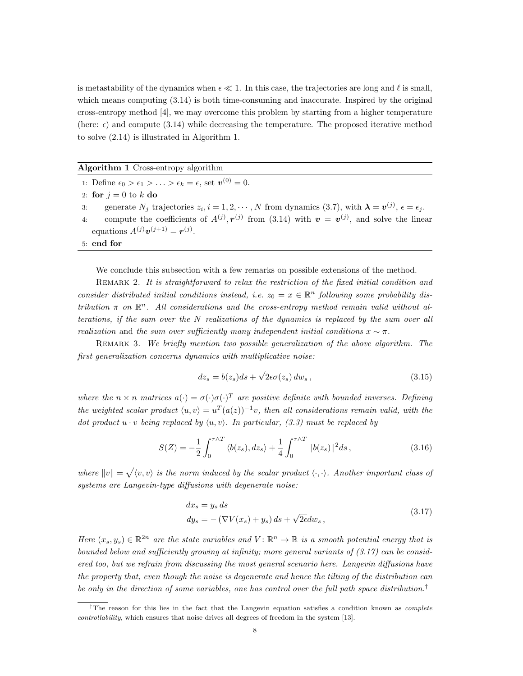is metastability of the dynamics when  $\epsilon \ll 1$ . In this case, the trajectories are long and  $\ell$  is small, which means computing  $(3.14)$  is both time-consuming and inaccurate. Inspired by the original cross-entropy method [4], we may overcome this problem by starting from a higher temperature (here:  $\epsilon$ ) and compute (3.14) while decreasing the temperature. The proposed iterative method to solve (2.14) is illustrated in Algorithm 1.

### Algorithm 1 Cross-entropy algorithm

1: Define  $\epsilon_0 > \epsilon_1 > \ldots > \epsilon_k = \epsilon$ , set  $\boldsymbol{v}^{(0)} = 0$ . 2: for  $j=0$  to k do 3: generate  $N_j$  trajectories  $z_i$ ,  $i = 1, 2, \dots, N$  from dynamics (3.7), with  $\boldsymbol{\lambda} = \boldsymbol{v}^{(j)}$ ,  $\epsilon = \epsilon_j$ . 4: compute the coefficients of  $A^{(j)}$ ,  $r^{(j)}$  from (3.14) with  $v = v^{(j)}$ , and solve the linear equations  $A^{(j)}\mathbf{v}^{(j+1)} = \mathbf{r}^{(j)}$ .

5: end for

We conclude this subsection with a few remarks on possible extensions of the method.

REMARK 2. It is straightforward to relax the restriction of the fixed initial condition and consider distributed initial conditions instead, i.e.  $z_0 = x \in \mathbb{R}^n$  following some probability distribution  $\pi$  on  $\mathbb{R}^n$ . All considerations and the cross-entropy method remain valid without alterations, if the sum over the N realizations of the dynamics is replaced by the sum over all realization and the sum over sufficiently many independent initial conditions  $x \sim \pi$ .

REMARK 3. We briefly mention two possible generalization of the above algorithm. The first generalization concerns dynamics with multiplicative noise:

$$
dz_s = b(z_s)ds + \sqrt{2\epsilon}\sigma(z_s) dw_s, \qquad (3.15)
$$

where the  $n \times n$  matrices  $a(\cdot) = \sigma(\cdot) \sigma(\cdot)^T$  are positive definite with bounded inverses. Defining the weighted scalar product  $\langle u, v \rangle = u^T (a(z))^{-1}v$ , then all considerations remain valid, with the dot product  $u \cdot v$  being replaced by  $\langle u, v \rangle$ . In particular, (3.3) must be replaced by

$$
S(Z) = -\frac{1}{2} \int_0^{\tau \wedge T} \langle b(z_s), dz_s \rangle + \frac{1}{4} \int_0^{\tau \wedge T} ||b(z_s)||^2 ds,
$$
 (3.16)

where  $||v|| = \sqrt{\langle v, v \rangle}$  is the norm induced by the scalar product  $\langle \cdot, \cdot \rangle$ . Another important class of systems are Langevin-type diffusions with degenerate noise:

$$
dx_s = y_s ds
$$
  
\n
$$
dy_s = -(\nabla V(x_s) + y_s) ds + \sqrt{2\epsilon} dw_s,
$$
\n(3.17)

Here  $(x_s, y_s) \in \mathbb{R}^{2n}$  are the state variables and  $V : \mathbb{R}^n \to \mathbb{R}$  is a smooth potential energy that is bounded below and sufficiently growing at infinity; more general variants of  $(3.17)$  can be considered too, but we refrain from discussing the most general scenario here. Langevin diffusions have the property that, even though the noise is degenerate and hence the tilting of the distribution can be only in the direction of some variables, one has control over the full path space distribution.<sup>†</sup>

<sup>&</sup>lt;sup>†</sup>The reason for this lies in the fact that the Langevin equation satisfies a condition known as *complete* controllability, which ensures that noise drives all degrees of freedom in the system [13].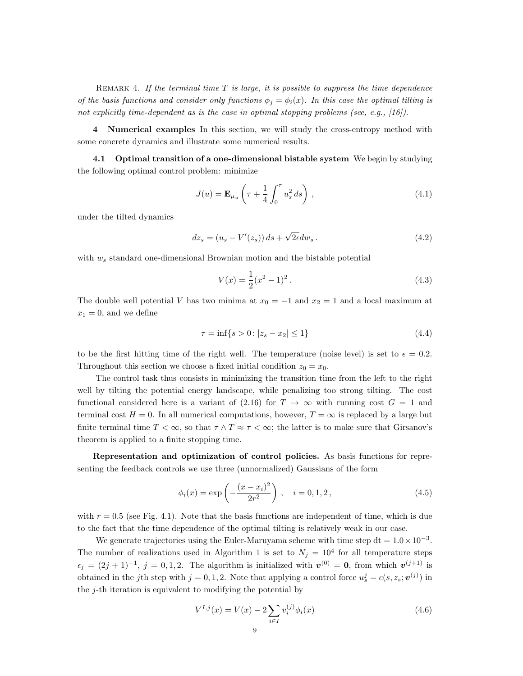REMARK 4. If the terminal time  $T$  is large, it is possible to suppress the time dependence of the basis functions and consider only functions  $\phi_i = \phi_i(x)$ . In this case the optimal tilting is not explicitly time-dependent as is the case in optimal stopping problems (see, e.g., [16]).

4 Numerical examples In this section, we will study the cross-entropy method with some concrete dynamics and illustrate some numerical results.

4.1 Optimal transition of a one-dimensional bistable system We begin by studying the following optimal control problem: minimize

$$
J(u) = \mathbf{E}_{\mu_u} \left( \tau + \frac{1}{4} \int_0^{\tau} u_s^2 ds \right), \qquad (4.1)
$$

under the tilted dynamics

$$
dz_s = (u_s - V'(z_s)) ds + \sqrt{2\epsilon} dw_s.
$$
 (4.2)

with  $w_s$  standard one-dimensional Brownian motion and the bistable potential

$$
V(x) = \frac{1}{2}(x^2 - 1)^2.
$$
\n(4.3)

The double well potential V has two minima at  $x_0 = -1$  and  $x_2 = 1$  and a local maximum at  $x_1 = 0$ , and we define

$$
\tau = \inf\{s > 0 \colon |z_s - x_2| \le 1\} \tag{4.4}
$$

to be the first hitting time of the right well. The temperature (noise level) is set to  $\epsilon = 0.2$ . Throughout this section we choose a fixed initial condition  $z_0 = x_0$ .

The control task thus consists in minimizing the transition time from the left to the right well by tilting the potential energy landscape, while penalizing too strong tilting. The cost functional considered here is a variant of (2.16) for  $T \to \infty$  with running cost  $G = 1$  and terminal cost  $H = 0$ . In all numerical computations, however,  $T = \infty$  is replaced by a large but finite terminal time  $T < \infty$ , so that  $\tau \wedge T \approx \tau < \infty$ ; the latter is to make sure that Girsanov's theorem is applied to a finite stopping time.

Representation and optimization of control policies. As basis functions for representing the feedback controls we use three (unnormalized) Gaussians of the form

$$
\phi_i(x) = \exp\left(-\frac{(x - x_i)^2}{2r^2}\right), \quad i = 0, 1, 2,
$$
\n(4.5)

with  $r = 0.5$  (see Fig. 4.1). Note that the basis functions are independent of time, which is due to the fact that the time dependence of the optimal tilting is relatively weak in our case.

We generate trajectories using the Euler-Maruyama scheme with time step  $dt = 1.0 \times 10^{-3}$ . The number of realizations used in Algorithm 1 is set to  $N_j = 10^4$  for all temperature steps  $\epsilon_j = (2j+1)^{-1}, j = 0,1,2.$  The algorithm is initialized with  $\mathbf{v}^{(0)} = \mathbf{0}$ , from which  $\mathbf{v}^{(j+1)}$  is obtained in the j<sup>th</sup> step with  $j = 0, 1, 2$ . Note that applying a control force  $u_s^j = c(s, z_s; \boldsymbol{v}^{(j)})$  in the j-th iteration is equivalent to modifying the potential by

$$
V^{I,j}(x) = V(x) - 2\sum_{i \in I} v_i^{(j)} \phi_i(x)
$$
\n(4.6)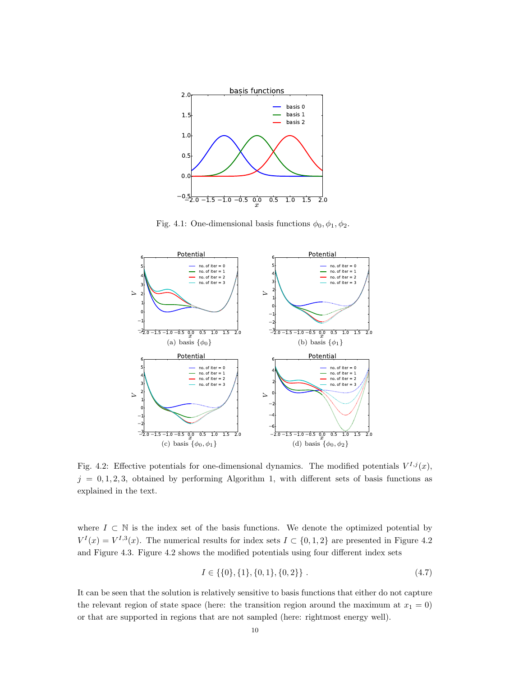

Fig. 4.1: One-dimensional basis functions  $\phi_0, \phi_1, \phi_2$ .



Fig. 4.2: Effective potentials for one-dimensional dynamics. The modified potentials  $V^{I,j}(x)$ ,  $j = 0, 1, 2, 3$ , obtained by performing Algorithm 1, with different sets of basis functions as explained in the text.

where  $I \subset \mathbb{N}$  is the index set of the basis functions. We denote the optimized potential by  $V^{I}(x) = V^{I,3}(x)$ . The numerical results for index sets  $I \subset \{0,1,2\}$  are presented in Figure 4.2 and Figure 4.3. Figure 4.2 shows the modified potentials using four different index sets

$$
I \in \{ \{0\}, \{1\}, \{0, 1\}, \{0, 2\} \} . \tag{4.7}
$$

It can be seen that the solution is relatively sensitive to basis functions that either do not capture the relevant region of state space (here: the transition region around the maximum at  $x_1 = 0$ ) or that are supported in regions that are not sampled (here: rightmost energy well).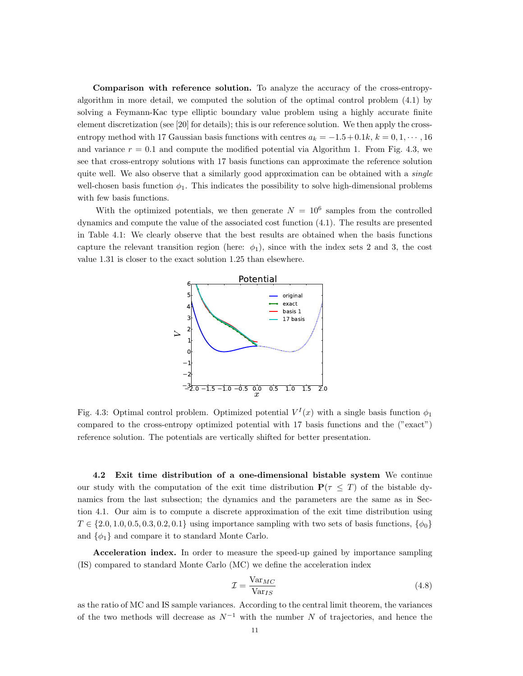Comparison with reference solution. To analyze the accuracy of the cross-entropyalgorithm in more detail, we computed the solution of the optimal control problem (4.1) by solving a Feymann-Kac type elliptic boundary value problem using a highly accurate finite element discretization (see [20] for details); this is our reference solution. We then apply the crossentropy method with 17 Gaussian basis functions with centres  $a_k = -1.5 + 0.1k$ ,  $k = 0, 1, \dots, 16$ and variance  $r = 0.1$  and compute the modified potential via Algorithm 1. From Fig. 4.3, we see that cross-entropy solutions with 17 basis functions can approximate the reference solution quite well. We also observe that a similarly good approximation can be obtained with a *single* well-chosen basis function  $\phi_1$ . This indicates the possibility to solve high-dimensional problems with few basis functions.

With the optimized potentials, we then generate  $N = 10^6$  samples from the controlled dynamics and compute the value of the associated cost function (4.1). The results are presented in Table 4.1: We clearly observe that the best results are obtained when the basis functions capture the relevant transition region (here:  $\phi_1$ ), since with the index sets 2 and 3, the cost value 1.31 is closer to the exact solution 1.25 than elsewhere.



Fig. 4.3: Optimal control problem. Optimized potential  $V<sup>I</sup>(x)$  with a single basis function  $\phi_1$ compared to the cross-entropy optimized potential with 17 basis functions and the ("exact") reference solution. The potentials are vertically shifted for better presentation.

4.2 Exit time distribution of a one-dimensional bistable system We continue our study with the computation of the exit time distribution  $P(\tau \leq T)$  of the bistable dynamics from the last subsection; the dynamics and the parameters are the same as in Section 4.1. Our aim is to compute a discrete approximation of the exit time distribution using  $T \in \{2.0, 1.0, 0.5, 0.3, 0.2, 0.1\}$  using importance sampling with two sets of basis functions,  $\{\phi_0\}$ and  $\{\phi_1\}$  and compare it to standard Monte Carlo.

Acceleration index. In order to measure the speed-up gained by importance sampling (IS) compared to standard Monte Carlo (MC) we define the acceleration index

$$
\mathcal{I} = \frac{\text{Var}_{MC}}{\text{Var}_{IS}}\tag{4.8}
$$

as the ratio of MC and IS sample variances. According to the central limit theorem, the variances of the two methods will decrease as  $N^{-1}$  with the number N of trajectories, and hence the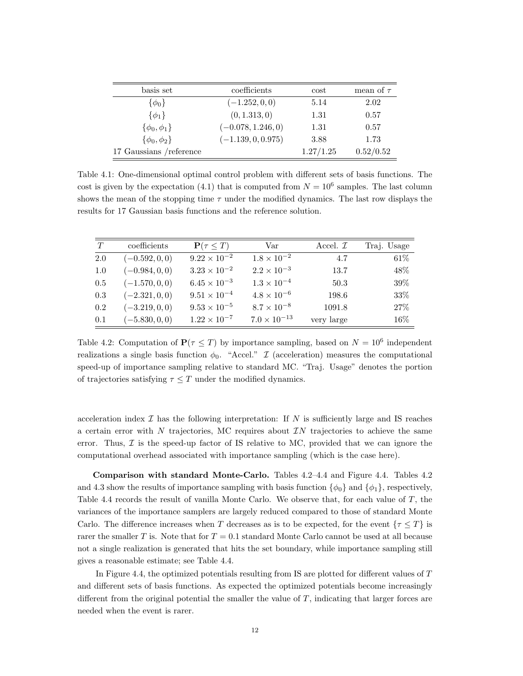| basis set                | coefficients         | cost      | mean of $\tau$ |
|--------------------------|----------------------|-----------|----------------|
| $\{\phi_0\}$             | $(-1.252, 0, 0)$     | 5.14      | 2.02           |
| $\{\phi_1\}$             | (0, 1.313, 0)        | 1.31      | 0.57           |
| $\{\phi_0,\phi_1\}$      | $(-0.078, 1.246, 0)$ | 1.31      | 0.57           |
| $\{\phi_0,\phi_2\}$      | $(-1.139, 0, 0.975)$ | 3.88      | 1.73           |
| 17 Gaussians / reference |                      | 1.27/1.25 | 0.52/0.52      |

Table 4.1: One-dimensional optimal control problem with different sets of basis functions. The cost is given by the expectation (4.1) that is computed from  $N = 10^6$  samples. The last column shows the mean of the stopping time  $\tau$  under the modified dynamics. The last row displays the results for 17 Gaussian basis functions and the reference solution.

| T       | coefficients     | $\mathbf{P}(\tau \leq T)$ | Var                   | Accel. $\mathcal{I}$ | Traj. Usage |
|---------|------------------|---------------------------|-----------------------|----------------------|-------------|
| 2.0     | $(-0.592, 0, 0)$ | $9.22 \times 10^{-2}$     | $1.8 \times 10^{-2}$  | 4.7                  | $61\%$      |
| 1.0     | $(-0.984, 0, 0)$ | $3.23 \times 10^{-2}$     | $2.2 \times 10^{-3}$  | 13.7                 | 48%         |
| 0.5     | $(-1.570, 0, 0)$ | $6.45 \times 10^{-3}$     | $1.3 \times 10^{-4}$  | 50.3                 | 39%         |
| 0.3     | $(-2.321, 0, 0)$ | $9.51 \times 10^{-4}$     | $4.8 \times 10^{-6}$  | 198.6                | $33\%$      |
| 0.2     | $(-3.219, 0, 0)$ | $9.53 \times 10^{-5}$     | $8.7 \times 10^{-8}$  | 1091.8               | 27\%        |
| $0.1\,$ | $(-5.830, 0, 0)$ | $1.22 \times 10^{-7}$     | $7.0 \times 10^{-13}$ | very large           | 16%         |

Table 4.2: Computation of  $P(\tau \leq T)$  by importance sampling, based on  $N = 10^6$  independent realizations a single basis function  $\phi_0$ . "Accel." I (acceleration) measures the computational speed-up of importance sampling relative to standard MC. "Traj. Usage" denotes the portion of trajectories satisfying  $\tau \leq T$  under the modified dynamics.

acceleration index  $\mathcal I$  has the following interpretation: If N is sufficiently large and IS reaches a certain error with  $N$  trajectories, MC requires about  $IN$  trajectories to achieve the same error. Thus,  $\mathcal I$  is the speed-up factor of IS relative to MC, provided that we can ignore the computational overhead associated with importance sampling (which is the case here).

Comparison with standard Monte-Carlo. Tables 4.2–4.4 and Figure 4.4. Tables 4.2 and 4.3 show the results of importance sampling with basis function  $\{\phi_0\}$  and  $\{\phi_1\}$ , respectively, Table 4.4 records the result of vanilla Monte Carlo. We observe that, for each value of T, the variances of the importance samplers are largely reduced compared to those of standard Monte Carlo. The difference increases when T decreases as is to be expected, for the event  $\{\tau \leq T\}$  is rarer the smaller T is. Note that for  $T = 0.1$  standard Monte Carlo cannot be used at all because not a single realization is generated that hits the set boundary, while importance sampling still gives a reasonable estimate; see Table 4.4.

In Figure 4.4, the optimized potentials resulting from IS are plotted for different values of T and different sets of basis functions. As expected the optimized potentials become increasingly different from the original potential the smaller the value of T, indicating that larger forces are needed when the event is rarer.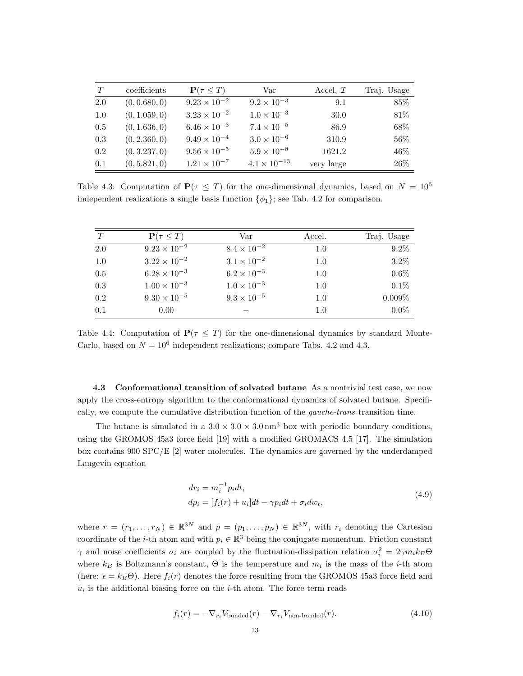| T   | coefficients  | $\mathbf{P}(\tau \leq T)$ | Var                   | Accel. $\mathcal{I}$ | Traj. Usage |
|-----|---------------|---------------------------|-----------------------|----------------------|-------------|
| 2.0 | (0, 0.680, 0) | $9.23 \times 10^{-2}$     | $9.2 \times 10^{-3}$  | 9.1                  | 85%         |
| 1.0 | (0, 1.059, 0) | $3.23 \times 10^{-2}$     | $1.0 \times 10^{-3}$  | 30.0                 | 81%         |
| 0.5 | (0, 1.636, 0) | $6.46 \times 10^{-3}$     | $7.4 \times 10^{-5}$  | 86.9                 | 68%         |
| 0.3 | (0, 2.360, 0) | $9.49 \times 10^{-4}$     | $3.0 \times 10^{-6}$  | 310.9                | $56\%$      |
| 0.2 | (0, 3.237, 0) | $9.56 \times 10^{-5}$     | $5.9 \times 10^{-8}$  | 1621.2               | 46%         |
| 0.1 | (0, 5.821, 0) | $1.21 \times 10^{-7}$     | $4.1 \times 10^{-13}$ | very large           | 26%         |

Table 4.3: Computation of  $P(\tau \leq T)$  for the one-dimensional dynamics, based on  $N = 10^6$ independent realizations a single basis function  $\{\phi_1\}$ ; see Tab. 4.2 for comparison.

| T   | $\mathbf{P}(\tau \leq T)$ | Var                  | Accel. | Traj. Usage |
|-----|---------------------------|----------------------|--------|-------------|
| 2.0 | $9.23 \times 10^{-2}$     | $8.4 \times 10^{-2}$ | 1.0    | $9.2\%$     |
| 1.0 | $3.22 \times 10^{-2}$     | $3.1 \times 10^{-2}$ | 1.0    | $3.2\%$     |
| 0.5 | $6.28 \times 10^{-3}$     | $6.2 \times 10^{-3}$ | 1.0    | $0.6\%$     |
| 0.3 | $1.00 \times 10^{-3}$     | $1.0 \times 10^{-3}$ | 1.0    | $0.1\%$     |
| 0.2 | $9.30 \times 10^{-5}$     | $9.3 \times 10^{-5}$ | 1.0    | $0.009\%$   |
| 0.1 | 0.00                      |                      | 1.0    | $0.0\%$     |

Table 4.4: Computation of  $P(\tau \leq T)$  for the one-dimensional dynamics by standard Monte-Carlo, based on  $N = 10^6$  independent realizations; compare Tabs. 4.2 and 4.3.

4.3 Conformational transition of solvated butane As a nontrivial test case, we now apply the cross-entropy algorithm to the conformational dynamics of solvated butane. Specifically, we compute the cumulative distribution function of the gauche-trans transition time.

The butane is simulated in a  $3.0 \times 3.0 \times 3.0 \text{ nm}^3$  box with periodic boundary conditions, using the GROMOS 45a3 force field [19] with a modified GROMACS 4.5 [17]. The simulation box contains 900 SPC/E [2] water molecules. The dynamics are governed by the underdamped Langevin equation

$$
dr_i = m_i^{-1}p_i dt,
$$
  
\n
$$
dp_i = [f_i(r) + u_i]dt - \gamma p_i dt + \sigma_i dw_t,
$$
\n(4.9)

where  $r = (r_1, \ldots, r_N) \in \mathbb{R}^{3N}$  and  $p = (p_1, \ldots, p_N) \in \mathbb{R}^{3N}$ , with  $r_i$  denoting the Cartesian coordinate of the *i*-th atom and with  $p_i \in \mathbb{R}^3$  being the conjugate momentum. Friction constant  $\gamma$  and noise coefficients  $\sigma_i$  are coupled by the fluctuation-dissipation relation  $\sigma_i^2 = 2\gamma m_i k_B \Theta$ where  $k_B$  is Boltzmann's constant,  $\Theta$  is the temperature and  $m_i$  is the mass of the *i*-th atom (here:  $\epsilon = k_B\Theta$ ). Here  $f_i(r)$  denotes the force resulting from the GROMOS 45a3 force field and  $u_i$  is the additional biasing force on the *i*-th atom. The force term reads

 $f_i(r) = -\nabla_{r_i} V_{\text{bonded}}(r) - \nabla_{r_i} V_{\text{non-bonded}}(r).$  (4.10)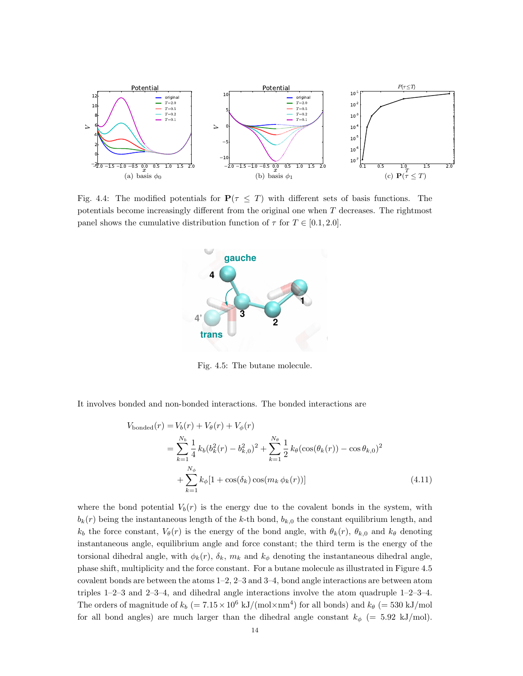

Fig. 4.4: The modified potentials for  $P(\tau \leq T)$  with different sets of basis functions. The potentials become increasingly different from the original one when T decreases. The rightmost panel shows the cumulative distribution function of  $\tau$  for  $T \in [0.1, 2.0]$ .



Fig. 4.5: The butane molecule.

It involves bonded and non-bonded interactions. The bonded interactions are

$$
V_{\text{bonded}}(r) = V_b(r) + V_\theta(r) + V_\phi(r)
$$
  
= 
$$
\sum_{k=1}^{N_b} \frac{1}{4} k_b (b_k^2(r) - b_{k,0}^2)^2 + \sum_{k=1}^{N_\theta} \frac{1}{2} k_\theta (\cos(\theta_k(r)) - \cos \theta_{k,0})^2
$$
  
+ 
$$
\sum_{k=1}^{N_\phi} k_\phi [1 + \cos(\delta_k) \cos(m_k \phi_k(r))]
$$
(4.11)

where the bond potential  $V_b(r)$  is the energy due to the covalent bonds in the system, with  $b_k(r)$  being the instantaneous length of the k-th bond,  $b_{k,0}$  the constant equilibrium length, and  $k_b$  the force constant,  $V_\theta(r)$  is the energy of the bond angle, with  $\theta_k(r)$ ,  $\theta_{k,0}$  and  $k_\theta$  denoting instantaneous angle, equilibrium angle and force constant; the third term is the energy of the torsional dihedral angle, with  $\phi_k(r)$ ,  $\delta_k$ ,  $m_k$  and  $k_{\phi}$  denoting the instantaneous dihedral angle, phase shift, multiplicity and the force constant. For a butane molecule as illustrated in Figure 4.5 covalent bonds are between the atoms 1–2, 2–3 and 3–4, bond angle interactions are between atom triples 1–2–3 and 2–3–4, and dihedral angle interactions involve the atom quadruple 1–2–3–4. The orders of magnitude of  $k_b$  (=  $7.15 \times 10^6$  kJ/(mol $\times$ nm<sup>4</sup>) for all bonds) and  $k_\theta$  (= 530 kJ/mol for all bond angles) are much larger than the dihedral angle constant  $k_{\phi}$  (= 5.92 kJ/mol).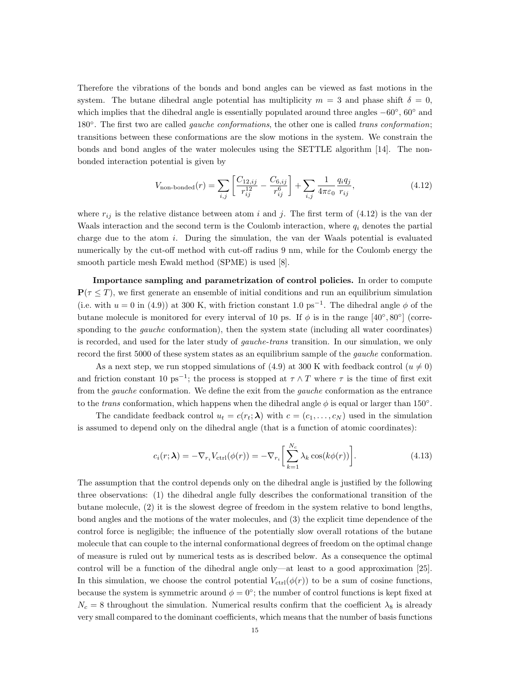Therefore the vibrations of the bonds and bond angles can be viewed as fast motions in the system. The butane dihedral angle potential has multiplicity  $m = 3$  and phase shift  $\delta = 0$ , which implies that the dihedral angle is essentially populated around three angles  $-60°$ ,  $60°$  and 180°. The first two are called *gauche conformations*, the other one is called *trans conformation*; transitions between these conformations are the slow motions in the system. We constrain the bonds and bond angles of the water molecules using the SETTLE algorithm [14]. The nonbonded interaction potential is given by

$$
V_{\text{non-bonded}}(r) = \sum_{i,j} \left[ \frac{C_{12,ij}}{r_{ij}^{12}} - \frac{C_{6,ij}}{r_{ij}^6} \right] + \sum_{i,j} \frac{1}{4\pi\varepsilon_0} \frac{q_i q_j}{r_{ij}},\tag{4.12}
$$

where  $r_{ij}$  is the relative distance between atom i and j. The first term of (4.12) is the van der Waals interaction and the second term is the Coulomb interaction, where  $q_i$  denotes the partial charge due to the atom i. During the simulation, the van der Waals potential is evaluated numerically by the cut-off method with cut-off radius 9 nm, while for the Coulomb energy the smooth particle mesh Ewald method (SPME) is used [8].

Importance sampling and parametrization of control policies. In order to compute  $P(\tau \leq T)$ , we first generate an ensemble of initial conditions and run an equilibrium simulation (i.e. with  $u = 0$  in (4.9)) at 300 K, with friction constant 1.0 ps<sup>-1</sup>. The dihedral angle  $\phi$  of the butane molecule is monitored for every interval of 10 ps. If  $\phi$  is in the range [40°, 80°] (corresponding to the *gauche* conformation), then the system state (including all water coordinates) is recorded, and used for the later study of gauche-trans transition. In our simulation, we only record the first 5000 of these system states as an equilibrium sample of the gauche conformation.

As a next step, we run stopped simulations of (4.9) at 300 K with feedback control ( $u \neq 0$ ) and friction constant 10 ps<sup>-1</sup>; the process is stopped at  $\tau \wedge T$  where  $\tau$  is the time of first exit from the gauche conformation. We define the exit from the gauche conformation as the entrance to the *trans* conformation, which happens when the dihedral angle  $\phi$  is equal or larger than 150°.

The candidate feedback control  $u_t = c(r_t; \lambda)$  with  $c = (c_1, \ldots, c_N)$  used in the simulation is assumed to depend only on the dihedral angle (that is a function of atomic coordinates):

$$
c_i(r; \lambda) = -\nabla_{r_i} V_{\text{ctrl}}(\phi(r)) = -\nabla_{r_i} \left[ \sum_{k=1}^{N_c} \lambda_k \cos(k\phi(r)) \right]. \tag{4.13}
$$

The assumption that the control depends only on the dihedral angle is justified by the following three observations: (1) the dihedral angle fully describes the conformational transition of the butane molecule, (2) it is the slowest degree of freedom in the system relative to bond lengths, bond angles and the motions of the water molecules, and (3) the explicit time dependence of the control force is negligible; the influence of the potentially slow overall rotations of the butane molecule that can couple to the internal conformational degrees of freedom on the optimal change of measure is ruled out by numerical tests as is described below. As a consequence the optimal control will be a function of the dihedral angle only—at least to a good approximation [25]. In this simulation, we choose the control potential  $V_{\text{ctrl}}(\phi(r))$  to be a sum of cosine functions, because the system is symmetric around  $\phi = 0^{\circ}$ ; the number of control functions is kept fixed at  $N_c = 8$  throughout the simulation. Numerical results confirm that the coefficient  $\lambda_8$  is already very small compared to the dominant coefficients, which means that the number of basis functions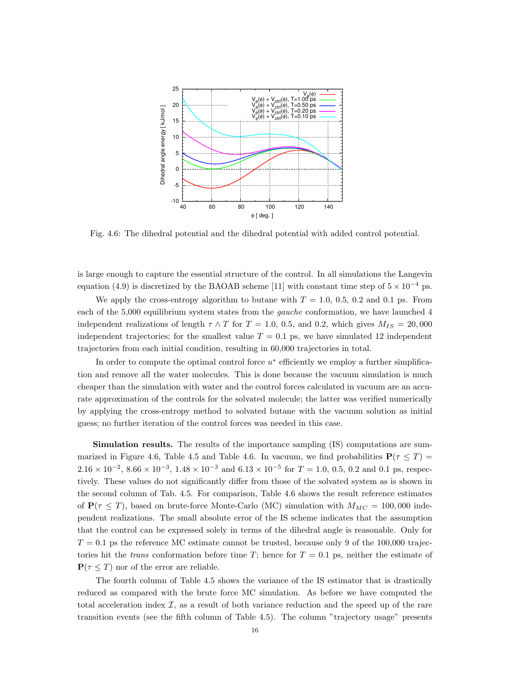

Fig. 4.6: The dihedral potential and the dihedral potential with added control potential.

is large enough to capture the essential structure of the control. In all simulations the Langevin equation (4.9) is discretized by the BAOAB scheme [11] with constant time step of  $5 \times 10^{-4}$  ps.

We apply the cross-entropy algorithm to butane with  $T = 1.0, 0.5, 0.2$  and 0.1 ps. From each of the 5,000 equilibrium system states from the gauche conformation, we have launched 4 independent realizations of length  $\tau \wedge T$  for  $T = 1.0, 0.5,$  and 0.2, which gives  $M_{IS} = 20,000$ independent trajectories; for the smallest value  $T = 0.1$  ps, we have simulated 12 independent trajectories from each initial condition, resulting in 60,000 trajectories in total.

In order to compute the optimal control force  $u^*$  efficiently we employ a further simplification and remove all the water molecules. This is done because the vacuum simulation is much cheaper than the simulation with water and the control forces calculated in vacuum are an accurate approximation of the controls for the solvated molecule; the latter was verified numerically by applying the cross-entropy method to solvated butane with the vacuum solution as initial guess; no further iteration of the control forces was needed in this case.

Simulation results. The results of the importance sampling (IS) computations are summarized in Figure 4.6, Table 4.5 and Table 4.6. In vacuum, we find probabilities  $P(\tau \leq T)$  $2.16 \times 10^{-2}$ ,  $8.66 \times 10^{-3}$ ,  $1.48 \times 10^{-3}$  and  $6.13 \times 10^{-5}$  for  $T = 1.0$ , 0.5, 0.2 and 0.1 ps, respectively. These values do not significantly differ from those of the solvated system as is shown in the second column of Tab. 4.5. For comparison, Table 4.6 shows the result reference estimates of  $P(\tau \leq T)$ , based on brute-force Monte-Carlo (MC) simulation with  $M_{MC} = 100,000$  independent realizations. The small absolute error of the IS scheme indicates that the assumption that the control can be expressed solely in terms of the dihedral angle is reasonable. Only for  $T = 0.1$  ps the reference MC estimate cannot be trusted, because only 9 of the 100,000 trajectories hit the *trans* conformation before time T; hence for  $T = 0.1$  ps, neither the estimate of  $P(\tau \leq T)$  nor of the error are reliable.

The fourth column of Table 4.5 shows the variance of the IS estimator that is drastically reduced as compared with the brute force MC simulation. As before we have computed the total acceleration index  $\mathcal{I}$ , as a result of both variance reduction and the speed up of the rare transition events (see the fifth column of Table 4.5). The column "trajectory usage" presents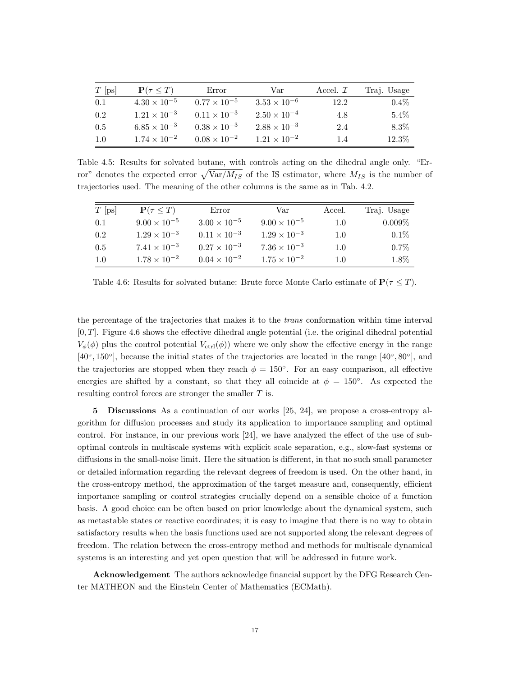| $T$ [ps] | $\mathbf{P}(\tau \leq T)$ | Error                 | Var                   | Accel. $\mathcal{I}$ | Traj. Usage |
|----------|---------------------------|-----------------------|-----------------------|----------------------|-------------|
| 0.1      | $4.30 \times 10^{-5}$     | $0.77 \times 10^{-5}$ | $3.53 \times 10^{-6}$ | 12.2                 | $0.4\%$     |
| 0.2      | $1.21 \times 10^{-3}$     | $0.11 \times 10^{-3}$ | $2.50 \times 10^{-4}$ | 4.8                  | 5.4%        |
| 0.5      | $6.85 \times 10^{-3}$     | $0.38 \times 10^{-3}$ | $2.88 \times 10^{-3}$ | 2.4                  | $8.3\%$     |
| 1.0      | $1.74 \times 10^{-2}$     | $0.08 \times 10^{-2}$ | $1.21 \times 10^{-2}$ | 14                   | 12.3%       |

Table 4.5: Results for solvated butane, with controls acting on the dihedral angle only. "Error" denotes the expected error  $\sqrt{\text{Var}/M_{IS}}$  of the IS estimator, where  $M_{IS}$  is the number of trajectories used. The meaning of the other columns is the same as in Tab. 4.2.

| $T$ [ps] | $\mathbf{P}(\tau \leq T)$ | Error                 | Var                   | Accel.  | Traj. Usage |
|----------|---------------------------|-----------------------|-----------------------|---------|-------------|
| 0.1      | $9.00 \times 10^{-5}$     | $3.00 \times 10^{-5}$ | $9.00 \times 10^{-5}$ | 1.0     | $0.009\%$   |
| 0.2      | $1.29 \times 10^{-3}$     | $0.11 \times 10^{-3}$ | $1.29 \times 10^{-3}$ | $1.0\,$ | $0.1\%$     |
| 0.5      | $7.41 \times 10^{-3}$     | $0.27 \times 10^{-3}$ | $7.36 \times 10^{-3}$ | $1.0\,$ | $0.7\%$     |
| 1.0      | $1.78 \times 10^{-2}$     | $0.04 \times 10^{-2}$ | $1.75 \times 10^{-2}$ | 1.0     | 1.8%        |

Table 4.6: Results for solvated butane: Brute force Monte Carlo estimate of  $P(\tau \leq T)$ .

the percentage of the trajectories that makes it to the trans conformation within time interval  $[0, T]$ . Figure 4.6 shows the effective dihedral angle potential (i.e. the original dihedral potential  $V_{\phi}(\phi)$  plus the control potential  $V_{\text{ctrl}}(\phi)$  where we only show the effective energy in the range [40°, 150°], because the initial states of the trajectories are located in the range [40°, 80°], and the trajectories are stopped when they reach  $\phi = 150^{\circ}$ . For an easy comparison, all effective energies are shifted by a constant, so that they all coincide at  $\phi = 150^{\circ}$ . As expected the resulting control forces are stronger the smaller T is.

5 Discussions As a continuation of our works [25, 24], we propose a cross-entropy algorithm for diffusion processes and study its application to importance sampling and optimal control. For instance, in our previous work [24], we have analyzed the effect of the use of suboptimal controls in multiscale systems with explicit scale separation, e.g., slow-fast systems or diffusions in the small-noise limit. Here the situation is different, in that no such small parameter or detailed information regarding the relevant degrees of freedom is used. On the other hand, in the cross-entropy method, the approximation of the target measure and, consequently, efficient importance sampling or control strategies crucially depend on a sensible choice of a function basis. A good choice can be often based on prior knowledge about the dynamical system, such as metastable states or reactive coordinates; it is easy to imagine that there is no way to obtain satisfactory results when the basis functions used are not supported along the relevant degrees of freedom. The relation between the cross-entropy method and methods for multiscale dynamical systems is an interesting and yet open question that will be addressed in future work.

Acknowledgement The authors acknowledge financial support by the DFG Research Center MATHEON and the Einstein Center of Mathematics (ECMath).